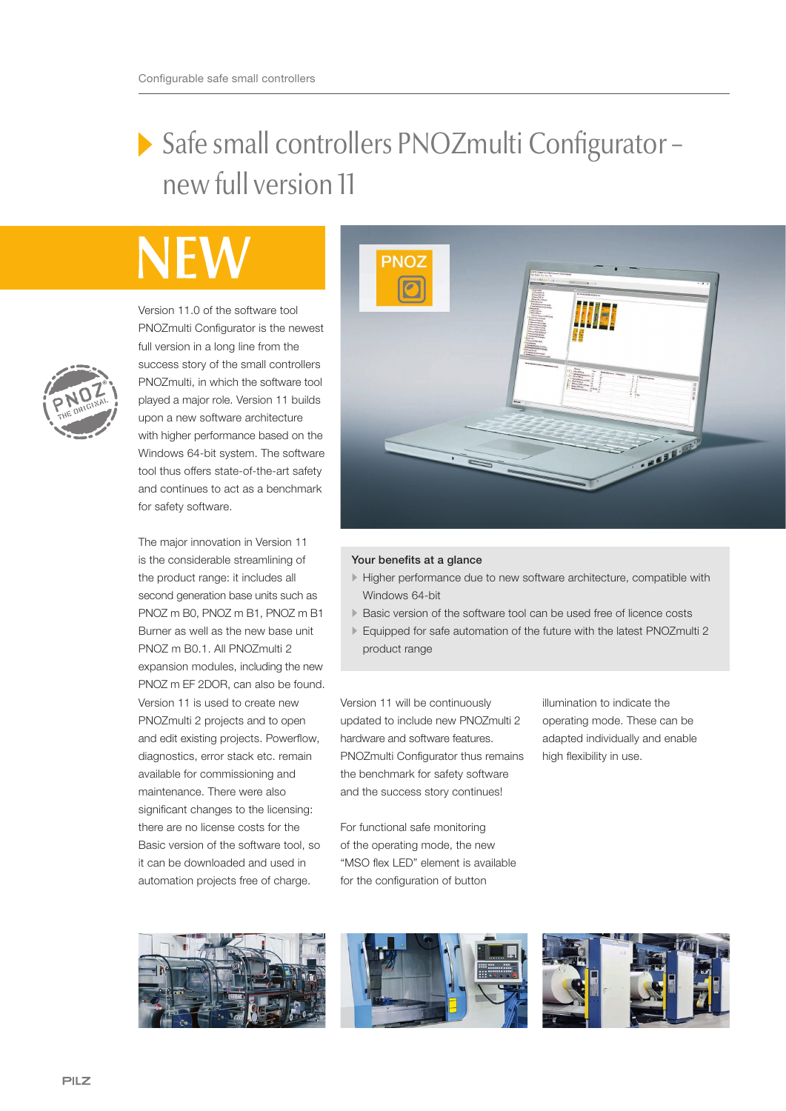## Safe small controllers PNOZmulti Configurator – new full version 11

Version 11.0 of the software tool PNOZmulti Configurator is the newest full version in a long line from the success story of the small controllers PNOZmulti, in which the software tool played a major role. Version 11 builds upon a new software architecture with higher performance based on the Windows 64-bit system. The software tool thus offers state-of-the-art safety and continues to act as a benchmark for safety software.

The major innovation in Version 11 is the considerable streamlining of the product range: it includes all second generation base units such as PNOZ m B0, PNOZ m B1, PNOZ m B1 Burner as well as the new base unit PNOZ m B0.1. All PNOZmulti 2 expansion modules, including the new PNOZ m EF 2DOR, can also be found. Version 11 is used to create new PNOZmulti 2 projects and to open and edit existing projects. Powerflow, diagnostics, error stack etc. remain available for commissioning and maintenance. There were also significant changes to the licensing: there are no license costs for the Basic version of the software tool, so it can be downloaded and used in automation projects free of charge.



## Your benefits at a glance

- Higher performance due to new software architecture, compatible with Windows 64-bit
- Basic version of the software tool can be used free of licence costs
- Equipped for safe automation of the future with the latest PNOZmulti 2 product range

Version 11 will be continuously updated to include new PNOZmulti 2 hardware and software features. PNOZmulti Configurator thus remains the benchmark for safety software and the success story continues!

For functional safe monitoring of the operating mode, the new "MSO flex LED" element is available for the configuration of button

illumination to indicate the operating mode. These can be adapted individually and enable high flexibility in use.